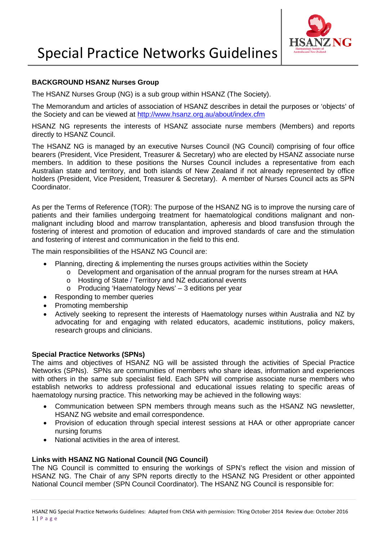

# **BACKGROUND HSANZ Nurses Group**

The HSANZ Nurses Group (NG) is a sub group within HSANZ (The Society).

The Memorandum and articles of association of HSANZ describes in detail the purposes or 'objects' of the Society and can be viewed at<http://www.hsanz.org.au/about/index.cfm>

HSANZ NG represents the interests of HSANZ associate nurse members (Members) and reports directly to HSANZ Council.

The HSANZ NG is managed by an executive Nurses Council (NG Council) comprising of four office bearers (President, Vice President, Treasurer & Secretary) who are elected by HSANZ associate nurse members. In addition to these positions the Nurses Council includes a representative from each Australian state and territory, and both islands of New Zealand if not already represented by office holders (President, Vice President, Treasurer & Secretary). A member of Nurses Council acts as SPN Coordinator.

As per the Terms of Reference (TOR): The purpose of the HSANZ NG is to improve the nursing care of patients and their families undergoing treatment for haematological conditions malignant and nonmalignant including blood and marrow transplantation, apheresis and blood transfusion through the fostering of interest and promotion of education and improved standards of care and the stimulation and fostering of interest and communication in the field to this end.

The main responsibilities of the HSANZ NG Council are:

- Planning, directing & implementing the nurses groups activities within the Society
	- o Development and organisation of the annual program for the nurses stream at HAA
	- o Hosting of State / Territory and NZ educational events
	- o Producing 'Haematology News' 3 editions per year
- Responding to member queries
- Promoting membership
- Actively seeking to represent the interests of Haematology nurses within Australia and NZ by advocating for and engaging with related educators, academic institutions, policy makers, research groups and clinicians.

### **Special Practice Networks (SPNs)**

The aims and objectives of HSANZ NG will be assisted through the activities of Special Practice Networks (SPNs). SPNs are communities of members who share ideas, information and experiences with others in the same sub specialist field. Each SPN will comprise associate nurse members who establish networks to address professional and educational issues relating to specific areas of haematology nursing practice. This networking may be achieved in the following ways:

- Communication between SPN members through means such as the HSANZ NG newsletter, HSANZ NG website and email correspondence.
- Provision of education through special interest sessions at HAA or other appropriate cancer nursing forums
- National activities in the area of interest.

### **Links with HSANZ NG National Council (NG Council)**

The NG Council is committed to ensuring the workings of SPN's reflect the vision and mission of HSANZ NG. The Chair of any SPN reports directly to the HSANZ NG President or other appointed National Council member (SPN Council Coordinator). The HSANZ NG Council is responsible for: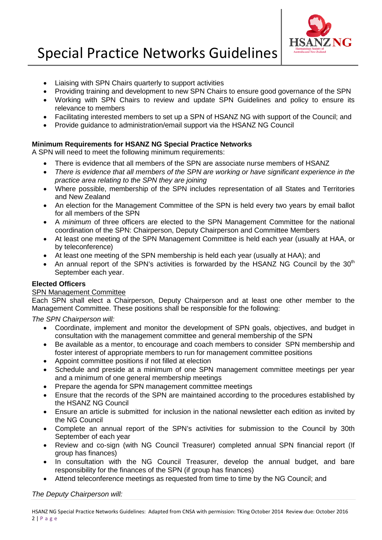

# Special Practice Networks Guidelines

- Liaising with SPN Chairs quarterly to support activities
- Providing training and development to new SPN Chairs to ensure good governance of the SPN
- Working with SPN Chairs to review and update SPN Guidelines and policy to ensure its relevance to members
- Facilitating interested members to set up a SPN of HSANZ NG with support of the Council; and
- Provide guidance to administration/email support via the HSANZ NG Council

# **Minimum Requirements for HSANZ NG Special Practice Networks**

A SPN will need to meet the following minimum requirements:

- There is evidence that all members of the SPN are associate nurse members of HSANZ
- *There is evidence that all members of the SPN are working or have significant experience in the practice area relating to the SPN they are joining*
- Where possible, membership of the SPN includes representation of all States and Territories and New Zealand
- An election for the Management Committee of the SPN is held every two years by email ballot for all members of the SPN
- A *minimum* of three officers are elected to the SPN Management Committee for the national coordination of the SPN: Chairperson, Deputy Chairperson and Committee Members
- At least one meeting of the SPN Management Committee is held each year (usually at HAA, or by teleconference)
- At least one meeting of the SPN membership is held each year (usually at HAA); and
- An annual report of the SPN's activities is forwarded by the HSANZ NG Council by the 30<sup>th</sup> September each year.

### **Elected Officers**

### SPN Management Committee

Each SPN shall elect a Chairperson, Deputy Chairperson and at least one other member to the Management Committee. These positions shall be responsible for the following:

*The SPN Chairperson will:*

- Coordinate, implement and monitor the development of SPN goals, objectives, and budget in consultation with the management committee and general membership of the SPN
- Be available as a mentor, to encourage and coach members to consider SPN membership and foster interest of appropriate members to run for management committee positions
- Appoint committee positions if not filled at election
- Schedule and preside at a minimum of one SPN management committee meetings per year and a minimum of one general membership meetings
- Prepare the agenda for SPN management committee meetings
- Ensure that the records of the SPN are maintained according to the procedures established by the HSANZ NG Council
- Ensure an article is submitted for inclusion in the national newsletter each edition as invited by the NG Council
- Complete an annual report of the SPN's activities for submission to the Council by 30th September of each year
- Review and co-sign (with NG Council Treasurer) completed annual SPN financial report (If group has finances)
- In consultation with the NG Council Treasurer, develop the annual budget, and bare responsibility for the finances of the SPN (if group has finances)
- Attend teleconference meetings as requested from time to time by the NG Council; and

### *The Deputy Chairperson will:*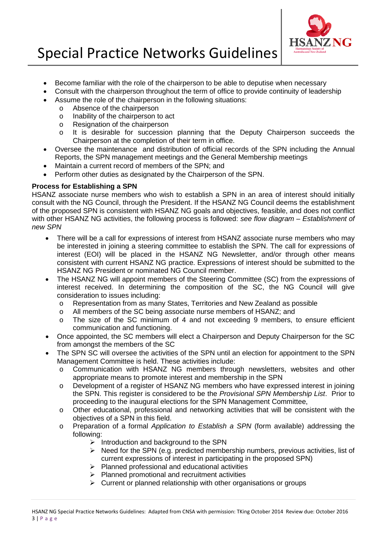

# Special Practice Networks Guidelines

- Become familiar with the role of the chairperson to be able to deputise when necessary
- Consult with the chairperson throughout the term of office to provide continuity of leadership
- Assume the role of the chairperson in the following situations:
	- o Absence of the chairperson
		- o Inability of the chairperson to act<br>
		o Resignation of the chairperson
		- Resignation of the chairperson
		- o It is desirable for succession planning that the Deputy Chairperson succeeds the Chairperson at the completion of their term in office.
- Oversee the maintenance and distribution of official records of the SPN including the Annual Reports, the SPN management meetings and the General Membership meetings
- Maintain a current record of members of the SPN; and
- Perform other duties as designated by the Chairperson of the SPN.

# **Process for Establishing a SPN**

HSANZ associate nurse members who wish to establish a SPN in an area of interest should initially consult with the NG Council, through the President. If the HSANZ NG Council deems the establishment of the proposed SPN is consistent with HSANZ NG goals and objectives, feasible, and does not conflict with other HSANZ NG activities, the following process is followed: *see flow diagram – Establishment of new SPN*

- There will be a call for expressions of interest from HSANZ associate nurse members who may be interested in joining a steering committee to establish the SPN. The call for expressions of interest (EOI) will be placed in the HSANZ NG Newsletter, and/or through other means consistent with current HSANZ NG practice. Expressions of interest should be submitted to the HSANZ NG President or nominated NG Council member.
- The HSANZ NG will appoint members of the Steering Committee (SC) from the expressions of interest received. In determining the composition of the SC, the NG Council will give consideration to issues including:
	- o Representation from as many States, Territories and New Zealand as possible o<br>All members of the SC being associate nurse members of HSANZ: and
	- o All members of the SC being associate nurse members of HSANZ; and<br>o The size of the SC minimum of 4 and not exceeding 9 members
	- The size of the SC minimum of 4 and not exceeding 9 members, to ensure efficient communication and functioning.
- Once appointed, the SC members will elect a Chairperson and Deputy Chairperson for the SC from amongst the members of the SC
- The SPN SC will oversee the activities of the SPN until an election for appointment to the SPN Management Committee is held. These activities include:
	- o Communication with HSANZ NG members through newsletters, websites and other appropriate means to promote interest and membership in the SPN
	- o Development of a register of HSANZ NG members who have expressed interest in joining the SPN. This register is considered to be the *Provisional SPN Membership List*. Prior to proceeding to the inaugural elections for the SPN Management Committee,
	- o Other educational, professional and networking activities that will be consistent with the objectives of a SPN in this field.
	- o Preparation of a formal *Application to Establish a SPN* (form available) addressing the following:
		- $\triangleright$  Introduction and background to the SPN
		- $\triangleright$  Need for the SPN (e.g. predicted membership numbers, previous activities, list of current expressions of interest in participating in the proposed SPN)
		- $\triangleright$  Planned professional and educational activities
		- $\triangleright$  Planned promotional and recruitment activities
		- $\triangleright$  Current or planned relationship with other organisations or groups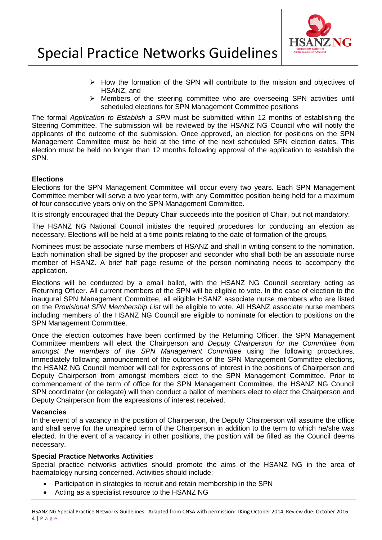

- $\triangleright$  How the formation of the SPN will contribute to the mission and objectives of HSANZ, and
- $\triangleright$  Members of the steering committee who are overseeing SPN activities until scheduled elections for SPN Management Committee positions

The formal *Application to Establish a SPN* must be submitted within 12 months of establishing the Steering Committee. The submission will be reviewed by the HSANZ NG Council who will notify the applicants of the outcome of the submission. Once approved, an election for positions on the SPN Management Committee must be held at the time of the next scheduled SPN election dates. This election must be held no longer than 12 months following approval of the application to establish the SPN.

# **Elections**

Elections for the SPN Management Committee will occur every two years. Each SPN Management Committee member will serve a two year term, with any Committee position being held for a maximum of four consecutive years only on the SPN Management Committee.

It is strongly encouraged that the Deputy Chair succeeds into the position of Chair, but not mandatory.

The HSANZ NG National Council initiates the required procedures for conducting an election as necessary. Elections will be held at a time points relating to the date of formation of the groups.

Nominees must be associate nurse members of HSANZ and shall in writing consent to the nomination. Each nomination shall be signed by the proposer and seconder who shall both be an associate nurse member of HSANZ. A brief half page resume of the person nominating needs to accompany the application.

Elections will be conducted by a email ballot, with the HSANZ NG Council secretary acting as Returning Officer. All current members of the SPN will be eligible to vote. In the case of election to the inaugural SPN Management Committee, all eligible HSANZ associate nurse members who are listed on the *Provisional SPN Membership List* will be eligible to vote. All HSANZ associate nurse members including members of the HSANZ NG Council are eligible to nominate for election to positions on the SPN Management Committee.

Once the election outcomes have been confirmed by the Returning Officer, the SPN Management Committee members will elect the Chairperson and *Deputy Chairperson for the Committee from amongst the members of the SPN Management Committee* using the following procedures. Immediately following announcement of the outcomes of the SPN Management Committee elections, the HSANZ NG Council member will call for expressions of interest in the positions of Chairperson and Deputy Chairperson from amongst members elect to the SPN Management Committee. Prior to commencement of the term of office for the SPN Management Committee, the HSANZ NG Council SPN coordinator (or delegate) will then conduct a ballot of members elect to elect the Chairperson and Deputy Chairperson from the expressions of interest received.

### **Vacancies**

In the event of a vacancy in the position of Chairperson, the Deputy Chairperson will assume the office and shall serve for the unexpired term of the Chairperson in addition to the term to which he/she was elected. In the event of a vacancy in other positions, the position will be filled as the Council deems necessary.

#### **Special Practice Networks Activities**

Special practice networks activities should promote the aims of the HSANZ NG in the area of haematology nursing concerned. Activities should include:

- Participation in strategies to recruit and retain membership in the SPN
- Acting as a specialist resource to the HSANZ NG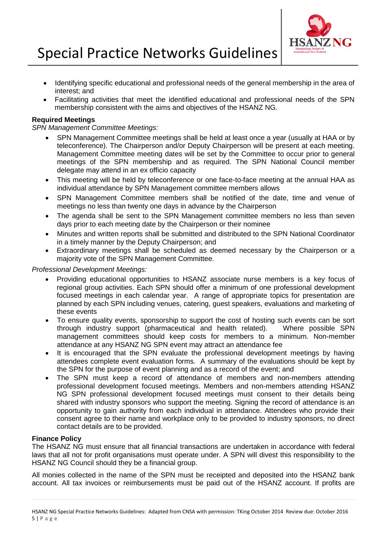

- Identifying specific educational and professional needs of the general membership in the area of interest; and
- Facilitating activities that meet the identified educational and professional needs of the SPN membership consistent with the aims and objectives of the HSANZ NG.

# **Required Meetings**

#### *SPN Management Committee Meetings:*

- SPN Management Committee meetings shall be held at least once a year (usually at HAA or by teleconference). The Chairperson and/or Deputy Chairperson will be present at each meeting. Management Committee meeting dates will be set by the Committee to occur prior to general meetings of the SPN membership and as required. The SPN National Council member delegate may attend in an ex officio capacity
- This meeting will be held by teleconference or one face-to-face meeting at the annual HAA as individual attendance by SPN Management committee members allows
- SPN Management Committee members shall be notified of the date, time and venue of meetings no less than twenty one days in advance by the Chairperson
- The agenda shall be sent to the SPN Management committee members no less than seven days prior to each meeting date by the Chairperson or their nominee
- Minutes and written reports shall be submitted and distributed to the SPN National Coordinator in a timely manner by the Deputy Chairperson; and
- Extraordinary meetings shall be scheduled as deemed necessary by the Chairperson or a majority vote of the SPN Management Committee.

#### *Professional Development Meetings:*

- Providing educational opportunities to HSANZ associate nurse members is a key focus of regional group activities. Each SPN should offer a minimum of one professional development focused meetings in each calendar year. A range of appropriate topics for presentation are planned by each SPN including venues, catering, guest speakers, evaluations and marketing of these events
- To ensure quality events, sponsorship to support the cost of hosting such events can be sort through industry support (pharmaceutical and health related). Where possible SPN management committees should keep costs for members to a minimum. Non-member attendance at any HSANZ NG SPN event may attract an attendance fee
- It is encouraged that the SPN evaluate the professional development meetings by having attendees complete event evaluation forms. A summary of the evaluations should be kept by the SPN for the purpose of event planning and as a record of the event; and
- The SPN must keep a record of attendance of members and non-members attending professional development focused meetings. Members and non-members attending HSANZ NG SPN professional development focused meetings must consent to their details being shared with industry sponsors who support the meeting. Signing the record of attendance is an opportunity to gain authority from each individual in attendance. Attendees who provide their consent agree to their name and workplace only to be provided to industry sponsors, no direct contact details are to be provided.

### **Finance Policy**

The HSANZ NG must ensure that all financial transactions are undertaken in accordance with federal laws that all not for profit organisations must operate under. A SPN will divest this responsibility to the HSANZ NG Council should they be a financial group.

All monies collected in the name of the SPN must be receipted and deposited into the HSANZ bank account. All tax invoices or reimbursements must be paid out of the HSANZ account. If profits are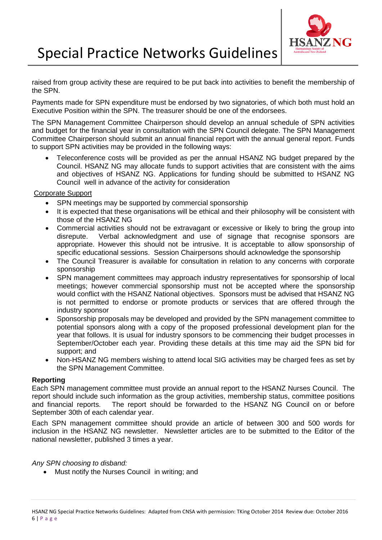

raised from group activity these are required to be put back into activities to benefit the membership of the SPN.

Payments made for SPN expenditure must be endorsed by two signatories, of which both must hold an Executive Position within the SPN. The treasurer should be one of the endorsees.

The SPN Management Committee Chairperson should develop an annual schedule of SPN activities and budget for the financial year in consultation with the SPN Council delegate. The SPN Management Committee Chairperson should submit an annual financial report with the annual general report. Funds to support SPN activities may be provided in the following ways:

• Teleconference costs will be provided as per the annual HSANZ NG budget prepared by the Council. HSANZ NG may allocate funds to support activities that are consistent with the aims and objectives of HSANZ NG. Applications for funding should be submitted to HSANZ NG Council well in advance of the activity for consideration

### Corporate Support

- SPN meetings may be supported by commercial sponsorship
- It is expected that these organisations will be ethical and their philosophy will be consistent with those of the HSANZ NG
- Commercial activities should not be extravagant or excessive or likely to bring the group into disrepute. Verbal acknowledgment and use of signage that recognise sponsors are appropriate. However this should not be intrusive. It is acceptable to allow sponsorship of specific educational sessions. Session Chairpersons should acknowledge the sponsorship
- The Council Treasurer is available for consultation in relation to any concerns with corporate sponsorship
- SPN management committees may approach industry representatives for sponsorship of local meetings; however commercial sponsorship must not be accepted where the sponsorship would conflict with the HSANZ National objectives. Sponsors must be advised that HSANZ NG is not permitted to endorse or promote products or services that are offered through the industry sponsor
- Sponsorship proposals may be developed and provided by the SPN management committee to potential sponsors along with a copy of the proposed professional development plan for the year that follows. It is usual for industry sponsors to be commencing their budget processes in September/October each year. Providing these details at this time may aid the SPN bid for support; and
- Non-HSANZ NG members wishing to attend local SIG activities may be charged fees as set by the SPN Management Committee.

#### **Reporting**

Each SPN management committee must provide an annual report to the HSANZ Nurses Council. The report should include such information as the group activities, membership status, committee positions and financial reports. The report should be forwarded to the HSANZ NG Council on or before September 30th of each calendar year.

Each SPN management committee should provide an article of between 300 and 500 words for inclusion in the HSANZ NG newsletter. Newsletter articles are to be submitted to the Editor of the national newsletter, published 3 times a year.

*Any SPN choosing to disband:*

• Must notify the Nurses Council in writing; and